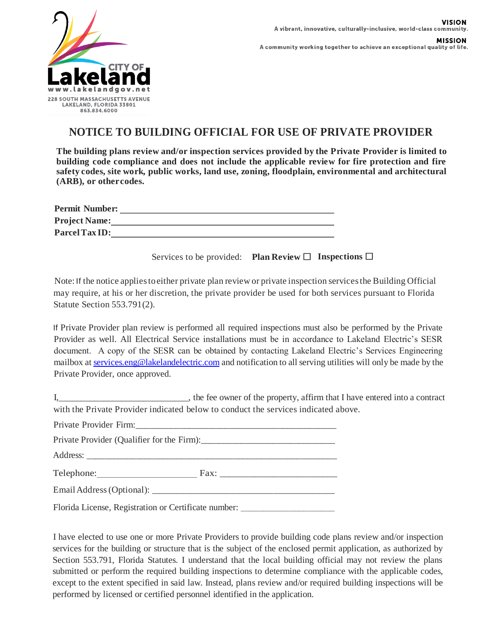

A community working together to achieve an exceptional quality of life.

## **NOTICE TO BUILDING OFFICIAL FOR USE OF PRIVATE PROVIDER**

**The building plans review and/or inspection services provided by the Private Provider is limited to building code compliance and does not include the applicable review for fire protection and fire safety codes, site work, public works, land use, zoning, floodplain, environmental and architectural (ARB), or othercodes.**

| <b>Permit Number:</b> |  |
|-----------------------|--|
| <b>Project Name:</b>  |  |
| Parcel Tax ID:        |  |

Services to be provided: **Plan Review**  $\Box$  **Inspections**  $\Box$ 

Note: If the notice appliestoeither private plan review or private inspection servicesthe Building Official may require, at his or her discretion, the private provider be used for both services pursuant to Florida Statute Section 553.791(2).

If Private Provider plan review is performed all required inspections must also be performed by the Private Provider as well. All Electrical Service installations must be in accordance to Lakeland Electric's SESR document. A copy of the SESR can be obtained by contacting Lakeland Electric's Services Engineering mailbox at [services.eng@lakelandelectric.com](mailto:services.eng@lakelandelectric.com) and notification to all serving utilities will only be made by the Private Provider, once approved.

| , the fee owner of the property, affirm that I have entered into a contract        |
|------------------------------------------------------------------------------------|
| with the Private Provider indicated below to conduct the services indicated above. |

Private Provider Firm: Private Provider (Qualifier for the Firm):\_\_\_\_\_\_\_\_\_\_\_\_\_\_\_\_\_\_\_\_\_\_\_\_\_\_\_\_\_\_ Address: Telephone: Fax: Email Address(Optional): \_\_\_\_\_\_\_\_\_\_\_\_\_\_\_\_\_\_\_\_\_\_\_\_\_\_\_\_\_\_\_\_\_\_\_\_\_\_\_ Florida License, Registration or Certificate number: \_\_\_\_\_\_\_\_\_\_\_\_\_\_\_\_\_\_\_\_\_\_\_\_\_\_\_

I have elected to use one or more Private Providers to provide building code plans review and/or inspection services for the building or structure that is the subject of the enclosed permit application, as authorized by Section 553.791, Florida Statutes. I understand that the local building official may not review the plans submitted or perform the required building inspections to determine compliance with the applicable codes, except to the extent specified in said law. Instead, plans review and/or required building inspections will be performed by licensed or certified personnel identified in the application.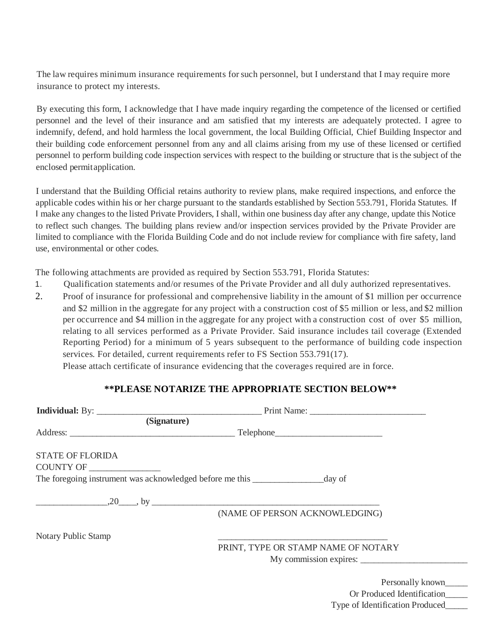The law requires minimum insurance requirements forsuch personnel, but I understand that I may require more insurance to protect my interests.

By executing this form, I acknowledge that I have made inquiry regarding the competence of the licensed or certified personnel and the level of their insurance and am satisfied that my interests are adequately protected. I agree to indemnify, defend, and hold harmless the local government, the local Building Official, Chief Building Inspector and their building code enforcement personnel from any and all claims arising from my use of these licensed or certified personnel to perform building code inspection services with respect to the building or structure that is the subject of the enclosed permitapplication.

I understand that the Building Official retains authority to review plans, make required inspections, and enforce the applicable codes within his or her charge pursuant to the standards established by Section 553.791, Florida Statutes. If I make any changes to the listed Private Providers, I shall, within one business day after any change, update this Notice to reflect such changes. The building plans review and/or inspection services provided by the Private Provider are limited to compliance with the Florida Building Code and do not include review for compliance with fire safety, land use, environmental or other codes.

The following attachments are provided as required by Section 553.791, Florida Statutes:

- 1. Qualification statements and/or resumes of the Private Provider and all duly authorized representatives.
- 2. Proof of insurance for professional and comprehensive liability in the amount of \$1 million per occurrence and \$2 million in the aggregate for any project with a construction cost of \$5 million or less, and \$2 million per occurrence and \$4 million in the aggregate for any project with a construction cost of over \$5 million, relating to all services performed as a Private Provider. Said insurance includes tail coverage (Extended Reporting Period) for a minimum of 5 years subsequent to the performance of building code inspection services. For detailed, current requirements refer to FS Section 553.791(17).

Please attach certificate of insurance evidencing that the coverages required are in force.

## **\*\*PLEASE NOTARIZE THE APPROPRIATE SECTION BELOW\*\***

|                            | (Signature)                                                                             |
|----------------------------|-----------------------------------------------------------------------------------------|
|                            |                                                                                         |
| <b>STATE OF FLORIDA</b>    |                                                                                         |
| COUNTY OF _____________    |                                                                                         |
|                            | The foregoing instrument was acknowledged before me this ________________________day of |
|                            |                                                                                         |
|                            | (NAME OF PERSON ACKNOWLEDGING)                                                          |
| <b>Notary Public Stamp</b> |                                                                                         |
|                            | PRINT, TYPE OR STAMP NAME OF NOTARY                                                     |
|                            | My commission expires:                                                                  |
|                            | Personally known                                                                        |
|                            |                                                                                         |

Personally known\_\_\_\_\_\_ Or Produced Identification\_\_\_\_\_ Type of Identification Produced\_\_\_\_\_